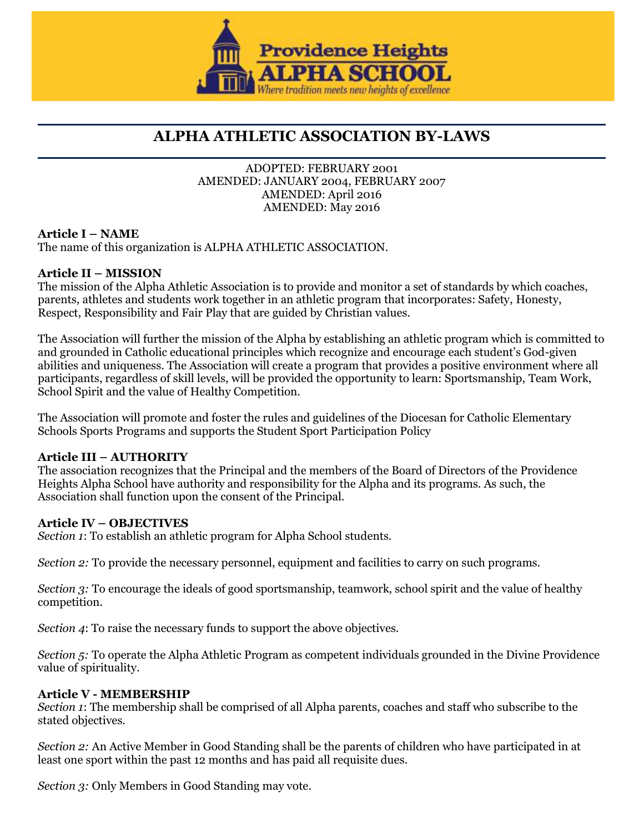

# **ALPHA ATHLETIC ASSOCIATION BY-LAWS**

#### ADOPTED: FEBRUARY 2001 AMENDED: JANUARY 2004, FEBRUARY 2007 AMENDED: April 2016 AMENDED: May 2016

## **Article I – NAME**

The name of this organization is ALPHA ATHLETIC ASSOCIATION.

#### **Article II – MISSION**

The mission of the Alpha Athletic Association is to provide and monitor a set of standards by which coaches, parents, athletes and students work together in an athletic program that incorporates: Safety, Honesty, Respect, Responsibility and Fair Play that are guided by Christian values.

The Association will further the mission of the Alpha by establishing an athletic program which is committed to and grounded in Catholic educational principles which recognize and encourage each student's God-given abilities and uniqueness. The Association will create a program that provides a positive environment where all participants, regardless of skill levels, will be provided the opportunity to learn: Sportsmanship, Team Work, School Spirit and the value of Healthy Competition.

The Association will promote and foster the rules and guidelines of the Diocesan for Catholic Elementary Schools Sports Programs and supports the Student Sport Participation Policy

#### **Article III – AUTHORITY**

The association recognizes that the Principal and the members of the Board of Directors of the Providence Heights Alpha School have authority and responsibility for the Alpha and its programs. As such, the Association shall function upon the consent of the Principal.

#### **Article IV – OBJECTIVES**

*Section 1*: To establish an athletic program for Alpha School students.

*Section 2:* To provide the necessary personnel, equipment and facilities to carry on such programs.

*Section 3:* To encourage the ideals of good sportsmanship, teamwork, school spirit and the value of healthy competition.

*Section 4*: To raise the necessary funds to support the above objectives.

*Section 5:* To operate the Alpha Athletic Program as competent individuals grounded in the Divine Providence value of spirituality.

#### **Article V - MEMBERSHIP**

*Section 1*: The membership shall be comprised of all Alpha parents, coaches and staff who subscribe to the stated objectives.

*Section 2:* An Active Member in Good Standing shall be the parents of children who have participated in at least one sport within the past 12 months and has paid all requisite dues.

*Section 3:* Only Members in Good Standing may vote.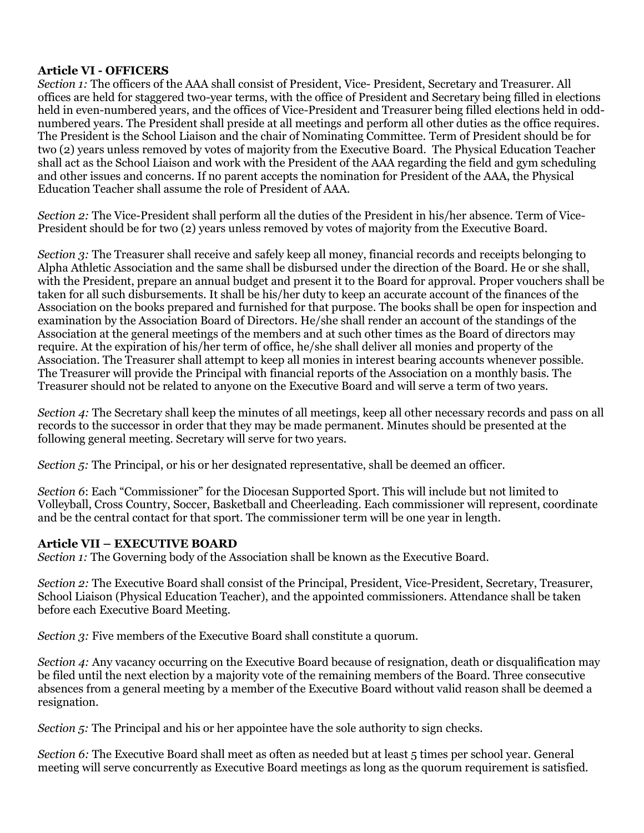#### **Article VI - OFFICERS**

*Section 1:* The officers of the AAA shall consist of President, Vice- President, Secretary and Treasurer. All offices are held for staggered two-year terms, with the office of President and Secretary being filled in elections held in even-numbered years, and the offices of Vice-President and Treasurer being filled elections held in oddnumbered years. The President shall preside at all meetings and perform all other duties as the office requires. The President is the School Liaison and the chair of Nominating Committee. Term of President should be for two (2) years unless removed by votes of majority from the Executive Board. The Physical Education Teacher shall act as the School Liaison and work with the President of the AAA regarding the field and gym scheduling and other issues and concerns. If no parent accepts the nomination for President of the AAA, the Physical Education Teacher shall assume the role of President of AAA.

*Section 2:* The Vice-President shall perform all the duties of the President in his/her absence. Term of Vice-President should be for two (2) years unless removed by votes of majority from the Executive Board.

*Section 3:* The Treasurer shall receive and safely keep all money, financial records and receipts belonging to Alpha Athletic Association and the same shall be disbursed under the direction of the Board. He or she shall, with the President, prepare an annual budget and present it to the Board for approval. Proper vouchers shall be taken for all such disbursements. It shall be his/her duty to keep an accurate account of the finances of the Association on the books prepared and furnished for that purpose. The books shall be open for inspection and examination by the Association Board of Directors. He/she shall render an account of the standings of the Association at the general meetings of the members and at such other times as the Board of directors may require. At the expiration of his/her term of office, he/she shall deliver all monies and property of the Association. The Treasurer shall attempt to keep all monies in interest bearing accounts whenever possible. The Treasurer will provide the Principal with financial reports of the Association on a monthly basis. The Treasurer should not be related to anyone on the Executive Board and will serve a term of two years.

*Section 4:* The Secretary shall keep the minutes of all meetings, keep all other necessary records and pass on all records to the successor in order that they may be made permanent. Minutes should be presented at the following general meeting. Secretary will serve for two years.

*Section 5:* The Principal, or his or her designated representative, shall be deemed an officer.

*Section 6*: Each "Commissioner" for the Diocesan Supported Sport. This will include but not limited to Volleyball, Cross Country, Soccer, Basketball and Cheerleading. Each commissioner will represent, coordinate and be the central contact for that sport. The commissioner term will be one year in length.

#### **Article VII – EXECUTIVE BOARD**

*Section 1:* The Governing body of the Association shall be known as the Executive Board.

*Section 2:* The Executive Board shall consist of the Principal, President, Vice-President, Secretary, Treasurer, School Liaison (Physical Education Teacher), and the appointed commissioners. Attendance shall be taken before each Executive Board Meeting.

*Section 3:* Five members of the Executive Board shall constitute a quorum.

*Section 4:* Any vacancy occurring on the Executive Board because of resignation, death or disqualification may be filed until the next election by a majority vote of the remaining members of the Board. Three consecutive absences from a general meeting by a member of the Executive Board without valid reason shall be deemed a resignation.

*Section 5:* The Principal and his or her appointee have the sole authority to sign checks.

*Section 6:* The Executive Board shall meet as often as needed but at least 5 times per school year. General meeting will serve concurrently as Executive Board meetings as long as the quorum requirement is satisfied.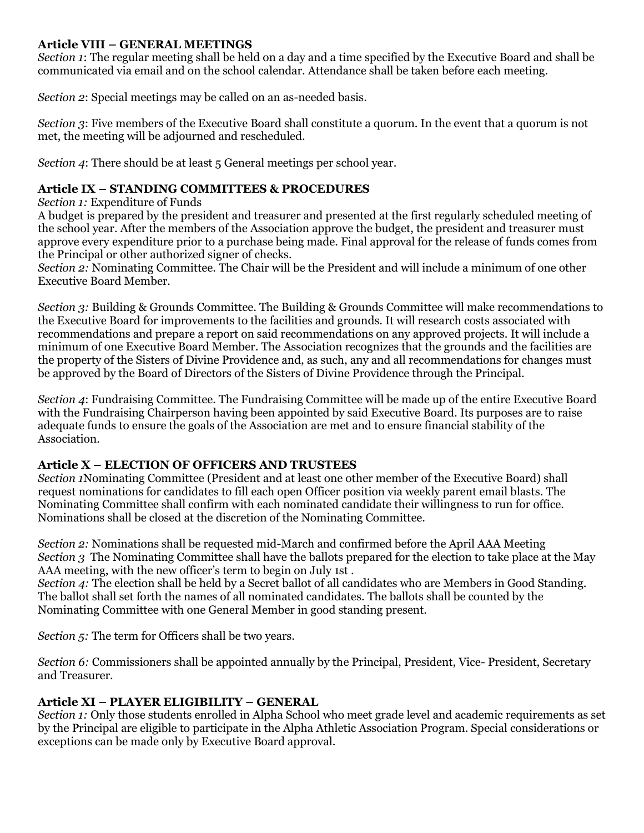#### **Article VIII – GENERAL MEETINGS**

*Section 1*: The regular meeting shall be held on a day and a time specified by the Executive Board and shall be communicated via email and on the school calendar. Attendance shall be taken before each meeting.

*Section 2*: Special meetings may be called on an as-needed basis.

*Section 3*: Five members of the Executive Board shall constitute a quorum. In the event that a quorum is not met, the meeting will be adjourned and rescheduled.

*Section 4*: There should be at least 5 General meetings per school year.

#### **Article IX – STANDING COMMITTEES & PROCEDURES**

*Section 1:* Expenditure of Funds

A budget is prepared by the president and treasurer and presented at the first regularly scheduled meeting of the school year. After the members of the Association approve the budget, the president and treasurer must approve every expenditure prior to a purchase being made. Final approval for the release of funds comes from the Principal or other authorized signer of checks.

*Section 2:* Nominating Committee. The Chair will be the President and will include a minimum of one other Executive Board Member.

*Section 3:* Building & Grounds Committee. The Building & Grounds Committee will make recommendations to the Executive Board for improvements to the facilities and grounds. It will research costs associated with recommendations and prepare a report on said recommendations on any approved projects. It will include a minimum of one Executive Board Member. The Association recognizes that the grounds and the facilities are the property of the Sisters of Divine Providence and, as such, any and all recommendations for changes must be approved by the Board of Directors of the Sisters of Divine Providence through the Principal.

*Section 4*: Fundraising Committee. The Fundraising Committee will be made up of the entire Executive Board with the Fundraising Chairperson having been appointed by said Executive Board. Its purposes are to raise adequate funds to ensure the goals of the Association are met and to ensure financial stability of the Association.

## **Article X – ELECTION OF OFFICERS AND TRUSTEES**

*Section 1*Nominating Committee (President and at least one other member of the Executive Board) shall request nominations for candidates to fill each open Officer position via weekly parent email blasts. The Nominating Committee shall confirm with each nominated candidate their willingness to run for office. Nominations shall be closed at the discretion of the Nominating Committee.

*Section 2:* Nominations shall be requested mid-March and confirmed before the April AAA Meeting *Section 3* The Nominating Committee shall have the ballots prepared for the election to take place at the May AAA meeting, with the new officer's term to begin on July 1st .

*Section 4:* The election shall be held by a Secret ballot of all candidates who are Members in Good Standing. The ballot shall set forth the names of all nominated candidates. The ballots shall be counted by the Nominating Committee with one General Member in good standing present.

*Section 5:* The term for Officers shall be two years.

*Section 6:* Commissioners shall be appointed annually by the Principal, President, Vice- President, Secretary and Treasurer.

## **Article XI – PLAYER ELIGIBILITY – GENERAL**

*Section 1:* Only those students enrolled in Alpha School who meet grade level and academic requirements as set by the Principal are eligible to participate in the Alpha Athletic Association Program. Special considerations or exceptions can be made only by Executive Board approval.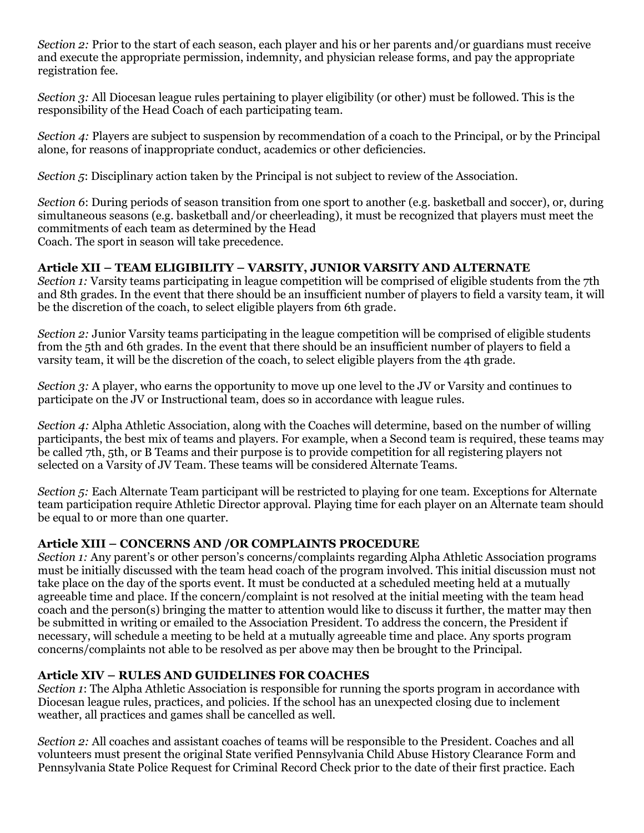*Section 2:* Prior to the start of each season, each player and his or her parents and/or guardians must receive and execute the appropriate permission, indemnity, and physician release forms, and pay the appropriate registration fee.

*Section 3:* All Diocesan league rules pertaining to player eligibility (or other) must be followed. This is the responsibility of the Head Coach of each participating team.

*Section 4:* Players are subject to suspension by recommendation of a coach to the Principal, or by the Principal alone, for reasons of inappropriate conduct, academics or other deficiencies.

*Section 5*: Disciplinary action taken by the Principal is not subject to review of the Association.

*Section 6*: During periods of season transition from one sport to another (e.g. basketball and soccer), or, during simultaneous seasons (e.g. basketball and/or cheerleading), it must be recognized that players must meet the commitments of each team as determined by the Head Coach. The sport in season will take precedence.

## **Article XII – TEAM ELIGIBILITY – VARSITY, JUNIOR VARSITY AND ALTERNATE**

*Section 1:* Varsity teams participating in league competition will be comprised of eligible students from the 7th and 8th grades. In the event that there should be an insufficient number of players to field a varsity team, it will be the discretion of the coach, to select eligible players from 6th grade.

*Section 2:* Junior Varsity teams participating in the league competition will be comprised of eligible students from the 5th and 6th grades. In the event that there should be an insufficient number of players to field a varsity team, it will be the discretion of the coach, to select eligible players from the 4th grade.

*Section 3:* A player, who earns the opportunity to move up one level to the JV or Varsity and continues to participate on the JV or Instructional team, does so in accordance with league rules.

*Section 4:* Alpha Athletic Association, along with the Coaches will determine, based on the number of willing participants, the best mix of teams and players. For example, when a Second team is required, these teams may be called 7th, 5th, or B Teams and their purpose is to provide competition for all registering players not selected on a Varsity of JV Team. These teams will be considered Alternate Teams.

*Section 5:* Each Alternate Team participant will be restricted to playing for one team. Exceptions for Alternate team participation require Athletic Director approval. Playing time for each player on an Alternate team should be equal to or more than one quarter.

#### **Article XIII – CONCERNS AND /OR COMPLAINTS PROCEDURE**

*Section 1:* Any parent's or other person's concerns/complaints regarding Alpha Athletic Association programs must be initially discussed with the team head coach of the program involved. This initial discussion must not take place on the day of the sports event. It must be conducted at a scheduled meeting held at a mutually agreeable time and place. If the concern/complaint is not resolved at the initial meeting with the team head coach and the person(s) bringing the matter to attention would like to discuss it further, the matter may then be submitted in writing or emailed to the Association President. To address the concern, the President if necessary, will schedule a meeting to be held at a mutually agreeable time and place. Any sports program concerns/complaints not able to be resolved as per above may then be brought to the Principal.

## **Article XIV – RULES AND GUIDELINES FOR COACHES**

*Section 1*: The Alpha Athletic Association is responsible for running the sports program in accordance with Diocesan league rules, practices, and policies. If the school has an unexpected closing due to inclement weather, all practices and games shall be cancelled as well.

*Section 2:* All coaches and assistant coaches of teams will be responsible to the President. Coaches and all volunteers must present the original State verified Pennsylvania Child Abuse History Clearance Form and Pennsylvania State Police Request for Criminal Record Check prior to the date of their first practice. Each